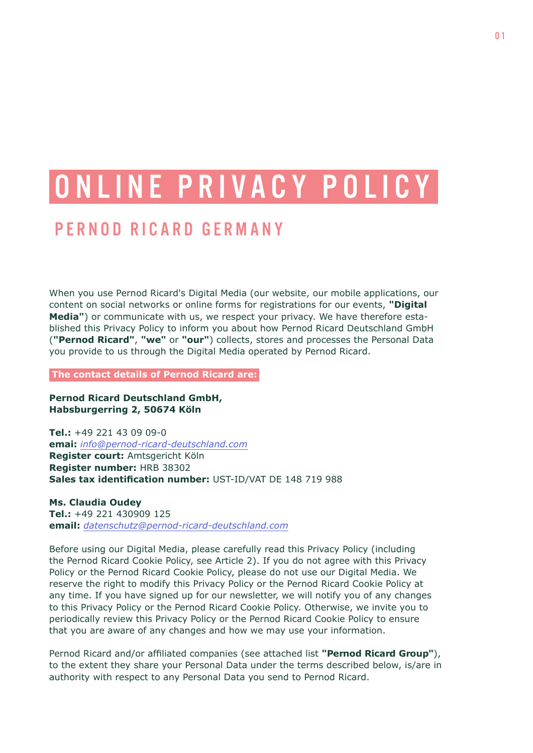# ONLINE PRIVACY POLICY PERNOD RICARD GERMANY

When you use Pernod Ricard's Digital Media (our website, our mobile applications, our content on social networks or online forms for registrations for our events, **"Digital Media"**) or communicate with us, we respect your privacy. We have therefore established this Privacy Policy to inform you about how Pernod Ricard Deutschland GmbH (**"Pernod Ricard"**, **"we"** or **"our"**) collects, stores and processes the Personal Data you provide to us through the Digital Media operated by Pernod Ricard.

 **The contact details of Pernod Ricard are:**

**Pernod Ricard Deutschland GmbH, Habsburgerring 2, 50674 Köln**

**Tel.:** +49 221 43 09 09-0 **emai:** *[info@pernod-ricard-deutschland.com](mailto://info@pernod-ricard-deutschland.com)* **Register court:** Amtsgericht Köln **Register number:** HRB 38302 **Sales tax identification number:** UST-ID/VAT DE 148 719 988

**Ms. Claudia Oudey Tel.:** +49 221 430909 125 **email:** *[datenschutz@pernod-ricard-deutschland.com](mailto://datenschutz@pernod-ricard-deutschland.com)*

Before using our Digital Media, please carefully read this Privacy Policy (including the Pernod Ricard Cookie Policy, see Article 2). If you do not agree with this Privacy Policy or the Pernod Ricard Cookie Policy, please do not use our Digital Media. We reserve the right to modify this Privacy Policy or the Pernod Ricard Cookie Policy at any time. If you have signed up for our newsletter, we will notify you of any changes to this Privacy Policy or the Pernod Ricard Cookie Policy. Otherwise, we invite you to periodically review this Privacy Policy or the Pernod Ricard Cookie Policy to ensure that you are aware of any changes and how we may use your information.

Pernod Ricard and/or affiliated companies (see attached list **"Pernod Ricard Group"**), to the extent they share your Personal Data under the terms described below, is/are in authority with respect to any Personal Data you send to Pernod Ricard.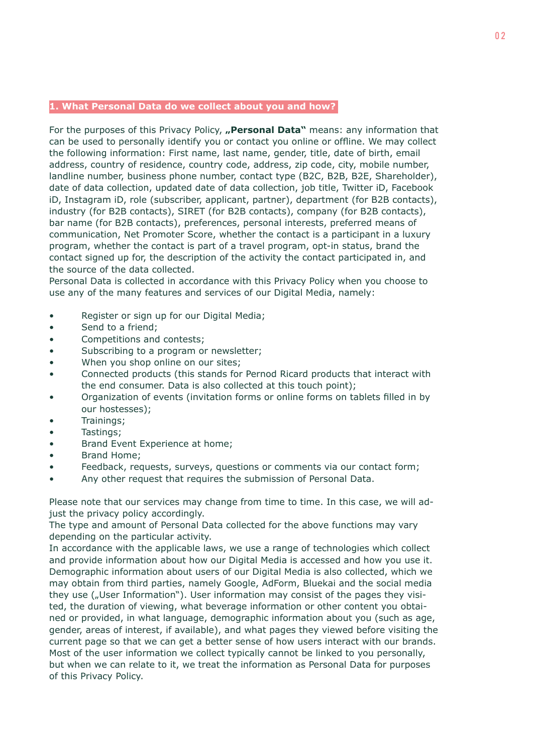### **1. What Personal Data do we collect about you and how?**

For the purposes of this Privacy Policy, **"Personal Data**" means: any information that can be used to personally identify you or contact you online or offline. We may collect the following information: First name, last name, gender, title, date of birth, email address, country of residence, country code, address, zip code, city, mobile number, landline number, business phone number, contact type (B2C, B2B, B2E, Shareholder), date of data collection, updated date of data collection, job title, Twitter iD, Facebook iD, Instagram iD, role (subscriber, applicant, partner), department (for B2B contacts), industry (for B2B contacts), SIRET (for B2B contacts), company (for B2B contacts), bar name (for B2B contacts), preferences, personal interests, preferred means of communication, Net Promoter Score, whether the contact is a participant in a luxury program, whether the contact is part of a travel program, opt-in status, brand the contact signed up for, the description of the activity the contact participated in, and the source of the data collected.

Personal Data is collected in accordance with this Privacy Policy when you choose to use any of the many features and services of our Digital Media, namely:

- Register or sign up for our Digital Media;
- Send to a friend;
- Competitions and contests;
- Subscribing to a program or newsletter;
- When you shop online on our sites;
- Connected products (this stands for Pernod Ricard products that interact with the end consumer. Data is also collected at this touch point);
- Organization of events (invitation forms or online forms on tablets filled in by our hostesses);
- Trainings;
- Tastings;
- Brand Event Experience at home;
- Brand Home;
- Feedback, requests, surveys, questions or comments via our contact form;
- Any other request that requires the submission of Personal Data.

Please note that our services may change from time to time. In this case, we will adjust the privacy policy accordingly.

The type and amount of Personal Data collected for the above functions may vary depending on the particular activity.

In accordance with the applicable laws, we use a range of technologies which collect and provide information about how our Digital Media is accessed and how you use it. Demographic information about users of our Digital Media is also collected, which we may obtain from third parties, namely Google, AdForm, Bluekai and the social media they use ("User Information"). User information may consist of the pages they visited, the duration of viewing, what beverage information or other content you obtained or provided, in what language, demographic information about you (such as age, gender, areas of interest, if available), and what pages they viewed before visiting the current page so that we can get a better sense of how users interact with our brands. Most of the user information we collect typically cannot be linked to you personally, but when we can relate to it, we treat the information as Personal Data for purposes of this Privacy Policy.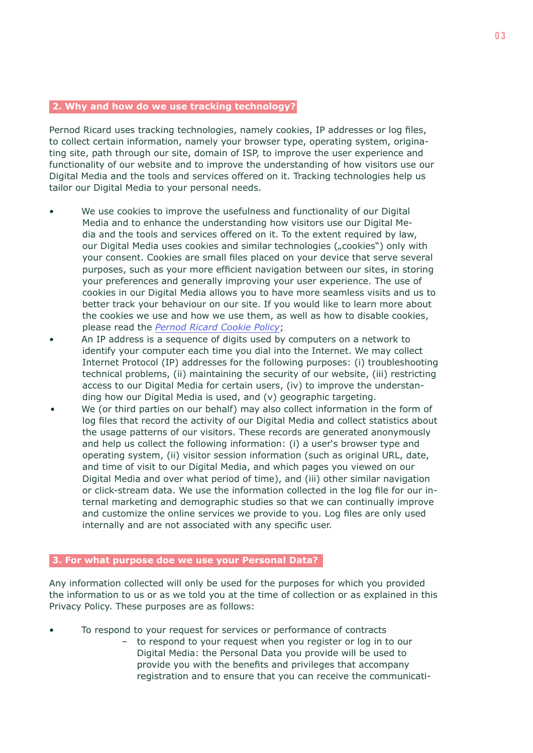## **2. Why and how do we use tracking technology?**

Pernod Ricard uses tracking technologies, namely cookies, IP addresses or log files, to collect certain information, namely your browser type, operating system, originating site, path through our site, domain of ISP, to improve the user experience and functionality of our website and to improve the understanding of how visitors use our Digital Media and the tools and services offered on it. Tracking technologies help us tailor our Digital Media to your personal needs.

- We use cookies to improve the usefulness and functionality of our Digital Media and to enhance the understanding how visitors use our Digital Media and the tools and services offered on it. To the extent required by law, our Digital Media uses cookies and similar technologies ("cookies") only with your consent. Cookies are small files placed on your device that serve several purposes, such as your more efficient navigation between our sites, in storing your preferences and generally improving your user experience. The use of cookies in our Digital Media allows you to have more seamless visits and us to better track your behaviour on our site. If you would like to learn more about the cookies we use and how we use them, as well as how to disable cookies, please read the *[Pernod Ricard Cookie Policy](https://www.join-sip.com/en/cookies/)*;
- An IP address is a sequence of digits used by computers on a network to identify your computer each time you dial into the Internet. We may collect Internet Protocol (IP) addresses for the following purposes: (i) troubleshooting technical problems, (ii) maintaining the security of our website, (iii) restricting access to our Digital Media for certain users, (iv) to improve the understanding how our Digital Media is used, and (v) geographic targeting.
- We (or third parties on our behalf) may also collect information in the form of log files that record the activity of our Digital Media and collect statistics about the usage patterns of our visitors. These records are generated anonymously and help us collect the following information: (i) a user's browser type and operating system, (ii) visitor session information (such as original URL, date, and time of visit to our Digital Media, and which pages you viewed on our Digital Media and over what period of time), and (iii) other similar navigation or click-stream data. We use the information collected in the log file for our internal marketing and demographic studies so that we can continually improve and customize the online services we provide to you. Log files are only used internally and are not associated with any specific user.

### **3. For what purpose doe we use your Personal Data?**

Any information collected will only be used for the purposes for which you provided the information to us or as we told you at the time of collection or as explained in this Privacy Policy. These purposes are as follows:

- To respond to your request for services or performance of contracts
	- to respond to your request when you register or log in to our Digital Media: the Personal Data you provide will be used to provide you with the benefits and privileges that accompany registration and to ensure that you can receive the communicati-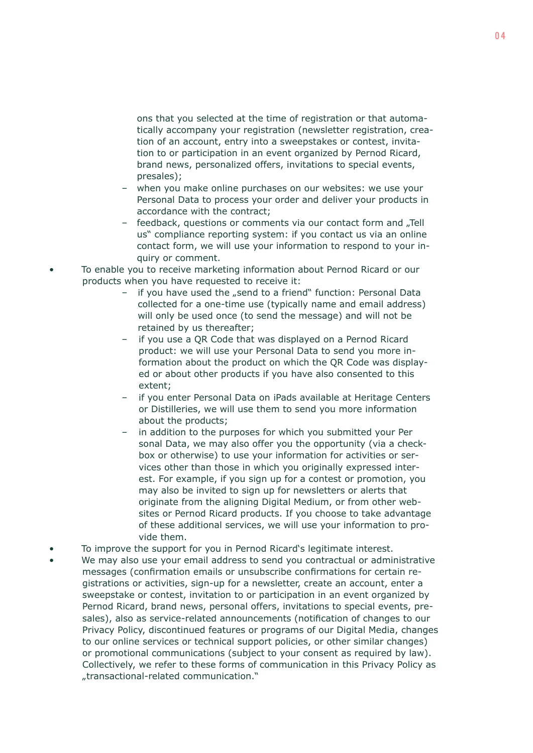ons that you selected at the time of registration or that automatically accompany your registration (newsletter registration, creation of an account, entry into a sweepstakes or contest, invitation to or participation in an event organized by Pernod Ricard, brand news, personalized offers, invitations to special events, presales);

- when you make online purchases on our websites: we use your Personal Data to process your order and deliver your products in accordance with the contract;
- feedback, questions or comments via our contact form and "Tell us" compliance reporting system: if you contact us via an online contact form, we will use your information to respond to your inquiry or comment.
- To enable you to receive marketing information about Pernod Ricard or our products when you have requested to receive it:
	- if you have used the "send to a friend" function: Personal Data collected for a one-time use (typically name and email address) will only be used once (to send the message) and will not be retained by us thereafter;
	- if you use a QR Code that was displayed on a Pernod Ricard product: we will use your Personal Data to send you more information about the product on which the QR Code was displayed or about other products if you have also consented to this extent;
	- if you enter Personal Data on iPads available at Heritage Centers or Distilleries, we will use them to send you more information about the products;
	- in addition to the purposes for which you submitted your Per sonal Data, we may also offer you the opportunity (via a checkbox or otherwise) to use your information for activities or services other than those in which you originally expressed interest. For example, if you sign up for a contest or promotion, you may also be invited to sign up for newsletters or alerts that originate from the aligning Digital Medium, or from other websites or Pernod Ricard products. If you choose to take advantage of these additional services, we will use your information to provide them.
- To improve the support for you in Pernod Ricard's legitimate interest.
- We may also use your email address to send you contractual or administrative messages (confirmation emails or unsubscribe confirmations for certain registrations or activities, sign-up for a newsletter, create an account, enter a sweepstake or contest, invitation to or participation in an event organized by Pernod Ricard, brand news, personal offers, invitations to special events, presales), also as service-related announcements (notification of changes to our Privacy Policy, discontinued features or programs of our Digital Media, changes to our online services or technical support policies, or other similar changes) or promotional communications (subject to your consent as required by law). Collectively, we refer to these forms of communication in this Privacy Policy as "transactional-related communication."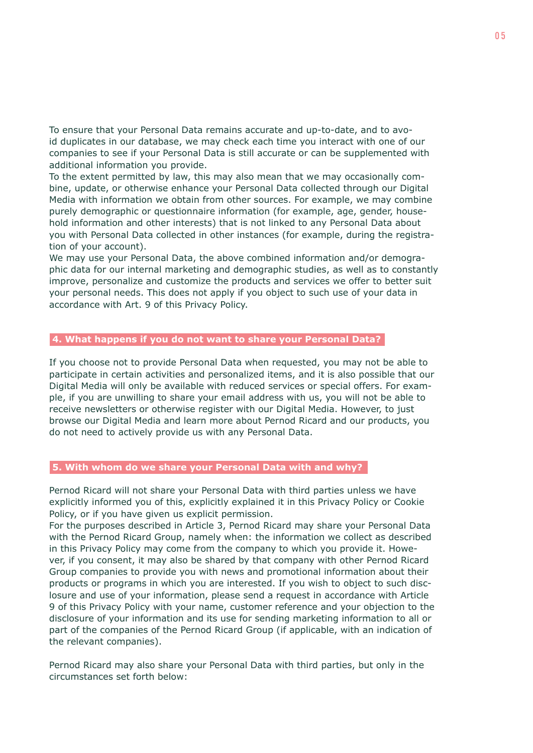To ensure that your Personal Data remains accurate and up-to-date, and to avoid duplicates in our database, we may check each time you interact with one of our companies to see if your Personal Data is still accurate or can be supplemented with additional information you provide.

To the extent permitted by law, this may also mean that we may occasionally combine, update, or otherwise enhance your Personal Data collected through our Digital Media with information we obtain from other sources. For example, we may combine purely demographic or questionnaire information (for example, age, gender, household information and other interests) that is not linked to any Personal Data about you with Personal Data collected in other instances (for example, during the registration of your account).

We may use your Personal Data, the above combined information and/or demographic data for our internal marketing and demographic studies, as well as to constantly improve, personalize and customize the products and services we offer to better suit your personal needs. This does not apply if you object to such use of your data in accordance with Art. 9 of this Privacy Policy.

# **4. What happens if you do not want to share your Personal Data?**

If you choose not to provide Personal Data when requested, you may not be able to participate in certain activities and personalized items, and it is also possible that our Digital Media will only be available with reduced services or special offers. For example, if you are unwilling to share your email address with us, you will not be able to receive newsletters or otherwise register with our Digital Media. However, to just browse our Digital Media and learn more about Pernod Ricard and our products, you do not need to actively provide us with any Personal Data.

#### **5. With whom do we share your Personal Data with and why?**

Pernod Ricard will not share your Personal Data with third parties unless we have explicitly informed you of this, explicitly explained it in this Privacy Policy or Cookie Policy, or if you have given us explicit permission.

For the purposes described in Article 3, Pernod Ricard may share your Personal Data with the Pernod Ricard Group, namely when: the information we collect as described in this Privacy Policy may come from the company to which you provide it. However, if you consent, it may also be shared by that company with other Pernod Ricard Group companies to provide you with news and promotional information about their products or programs in which you are interested. If you wish to object to such disclosure and use of your information, please send a request in accordance with Article 9 of this Privacy Policy with your name, customer reference and your objection to the disclosure of your information and its use for sending marketing information to all or part of the companies of the Pernod Ricard Group (if applicable, with an indication of the relevant companies).

Pernod Ricard may also share your Personal Data with third parties, but only in the circumstances set forth below: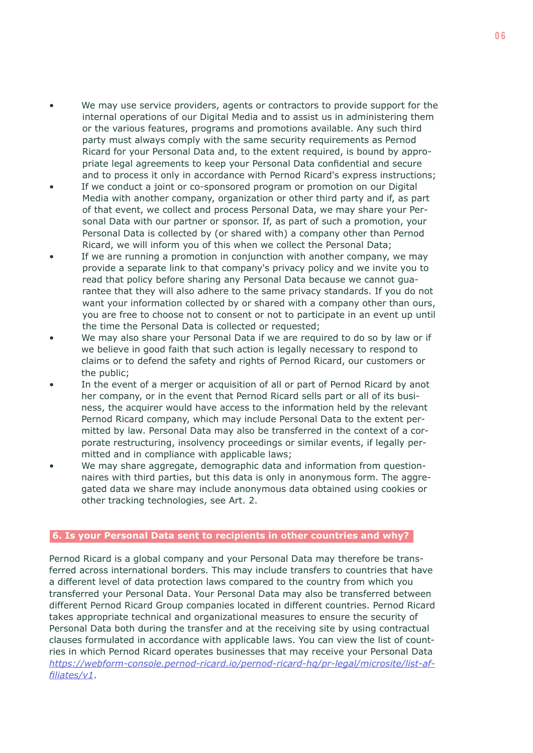- We may use service providers, agents or contractors to provide support for the internal operations of our Digital Media and to assist us in administering them or the various features, programs and promotions available. Any such third party must always comply with the same security requirements as Pernod Ricard for your Personal Data and, to the extent required, is bound by appropriate legal agreements to keep your Personal Data confidential and secure and to process it only in accordance with Pernod Ricard's express instructions;
- If we conduct a joint or co-sponsored program or promotion on our Digital Media with another company, organization or other third party and if, as part of that event, we collect and process Personal Data, we may share your Personal Data with our partner or sponsor. If, as part of such a promotion, your Personal Data is collected by (or shared with) a company other than Pernod Ricard, we will inform you of this when we collect the Personal Data;
- If we are running a promotion in conjunction with another company, we may provide a separate link to that company's privacy policy and we invite you to read that policy before sharing any Personal Data because we cannot guarantee that they will also adhere to the same privacy standards. If you do not want your information collected by or shared with a company other than ours, you are free to choose not to consent or not to participate in an event up until the time the Personal Data is collected or requested;
- We may also share your Personal Data if we are required to do so by law or if we believe in good faith that such action is legally necessary to respond to claims or to defend the safety and rights of Pernod Ricard, our customers or the public;
- In the event of a merger or acquisition of all or part of Pernod Ricard by anot her company, or in the event that Pernod Ricard sells part or all of its business, the acquirer would have access to the information held by the relevant Pernod Ricard company, which may include Personal Data to the extent permitted by law. Personal Data may also be transferred in the context of a corporate restructuring, insolvency proceedings or similar events, if legally permitted and in compliance with applicable laws;
- We may share aggregate, demographic data and information from questionnaires with third parties, but this data is only in anonymous form. The aggregated data we share may include anonymous data obtained using cookies or other tracking technologies, see Art. 2.

# **6. Is your Personal Data sent to recipients in other countries and why?**

Pernod Ricard is a global company and your Personal Data may therefore be transferred across international borders. This may include transfers to countries that have a different level of data protection laws compared to the country from which you transferred your Personal Data. Your Personal Data may also be transferred between different Pernod Ricard Group companies located in different countries. Pernod Ricard takes appropriate technical and organizational measures to ensure the security of Personal Data both during the transfer and at the receiving site by using contractual clauses formulated in accordance with applicable laws. You can view the list of countries in which Pernod Ricard operates businesses that may receive your Personal Data *[https://webform-console.pernod-ricard.io/pernod-ricard-hq/pr-legal/microsite/list-af](https://webform-console.pernod-ricard.io/pernod-ricard-hq/pr-legal/microsite/list-affiliates/v1)[filiates/v1](https://webform-console.pernod-ricard.io/pernod-ricard-hq/pr-legal/microsite/list-affiliates/v1)*.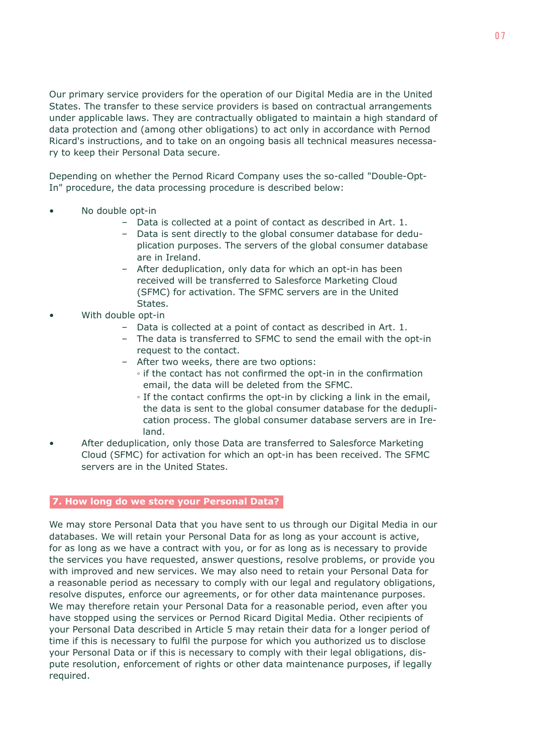Our primary service providers for the operation of our Digital Media are in the United States. The transfer to these service providers is based on contractual arrangements under applicable laws. They are contractually obligated to maintain a high standard of data protection and (among other obligations) to act only in accordance with Pernod Ricard's instructions, and to take on an ongoing basis all technical measures necessary to keep their Personal Data secure.

Depending on whether the Pernod Ricard Company uses the so-called "Double-Opt-In" procedure, the data processing procedure is described below:

- No double opt-in
	- Data is collected at a point of contact as described in Art. 1.
	- Data is sent directly to the global consumer database for deduplication purposes. The servers of the global consumer database are in Ireland.
	- After deduplication, only data for which an opt-in has been received will be transferred to Salesforce Marketing Cloud (SFMC) for activation. The SFMC servers are in the United States.
- With double opt-in
	- Data is collected at a point of contact as described in Art. 1.
	- The data is transferred to SFMC to send the email with the opt-in request to the contact.
	- After two weeks, there are two options:
		- if the contact has not confirmed the opt-in in the confirmation email, the data will be deleted from the SFMC.
		- If the contact confirms the opt-in by clicking a link in the email, the data is sent to the global consumer database for the dedupli cation process. The global consumer database servers are in Ire land.
- After deduplication, only those Data are transferred to Salesforce Marketing Cloud (SFMC) for activation for which an opt-in has been received. The SFMC servers are in the United States.

## **7. How long do we store your Personal Data?**

We may store Personal Data that you have sent to us through our Digital Media in our databases. We will retain your Personal Data for as long as your account is active, for as long as we have a contract with you, or for as long as is necessary to provide the services you have requested, answer questions, resolve problems, or provide you with improved and new services. We may also need to retain your Personal Data for a reasonable period as necessary to comply with our legal and regulatory obligations, resolve disputes, enforce our agreements, or for other data maintenance purposes. We may therefore retain your Personal Data for a reasonable period, even after you have stopped using the services or Pernod Ricard Digital Media. Other recipients of your Personal Data described in Article 5 may retain their data for a longer period of time if this is necessary to fulfil the purpose for which you authorized us to disclose your Personal Data or if this is necessary to comply with their legal obligations, dispute resolution, enforcement of rights or other data maintenance purposes, if legally required.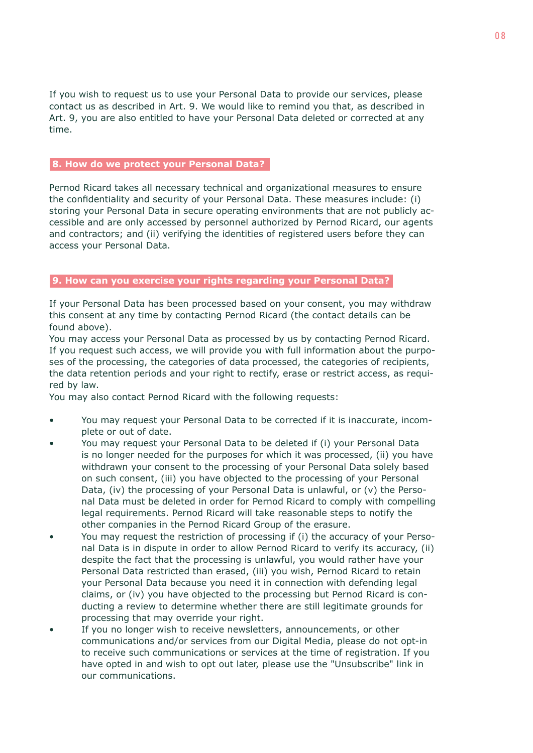If you wish to request us to use your Personal Data to provide our services, please contact us as described in Art. 9. We would like to remind you that, as described in Art. 9, you are also entitled to have your Personal Data deleted or corrected at any time.

## **8. How do we protect your Personal Data?**

Pernod Ricard takes all necessary technical and organizational measures to ensure the confidentiality and security of your Personal Data. These measures include: (i) storing your Personal Data in secure operating environments that are not publicly accessible and are only accessed by personnel authorized by Pernod Ricard, our agents and contractors; and (ii) verifying the identities of registered users before they can access your Personal Data.

## **9. How can you exercise your rights regarding your Personal Data?**

If your Personal Data has been processed based on your consent, you may withdraw this consent at any time by contacting Pernod Ricard (the contact details can be found above).

You may access your Personal Data as processed by us by contacting Pernod Ricard. If you request such access, we will provide you with full information about the purposes of the processing, the categories of data processed, the categories of recipients, the data retention periods and your right to rectify, erase or restrict access, as required by law.

You may also contact Pernod Ricard with the following requests:

- You may request your Personal Data to be corrected if it is inaccurate, incomplete or out of date.
- You may request your Personal Data to be deleted if (i) your Personal Data is no longer needed for the purposes for which it was processed, (ii) you have withdrawn your consent to the processing of your Personal Data solely based on such consent, (iii) you have objected to the processing of your Personal Data, (iv) the processing of your Personal Data is unlawful, or (v) the Personal Data must be deleted in order for Pernod Ricard to comply with compelling legal requirements. Pernod Ricard will take reasonable steps to notify the other companies in the Pernod Ricard Group of the erasure.
- You may request the restriction of processing if (i) the accuracy of your Personal Data is in dispute in order to allow Pernod Ricard to verify its accuracy, (ii) despite the fact that the processing is unlawful, you would rather have your Personal Data restricted than erased, (iii) you wish, Pernod Ricard to retain your Personal Data because you need it in connection with defending legal claims, or (iv) you have objected to the processing but Pernod Ricard is conducting a review to determine whether there are still legitimate grounds for processing that may override your right.
- If you no longer wish to receive newsletters, announcements, or other communications and/or services from our Digital Media, please do not opt-in to receive such communications or services at the time of registration. If you have opted in and wish to opt out later, please use the "Unsubscribe" link in our communications.